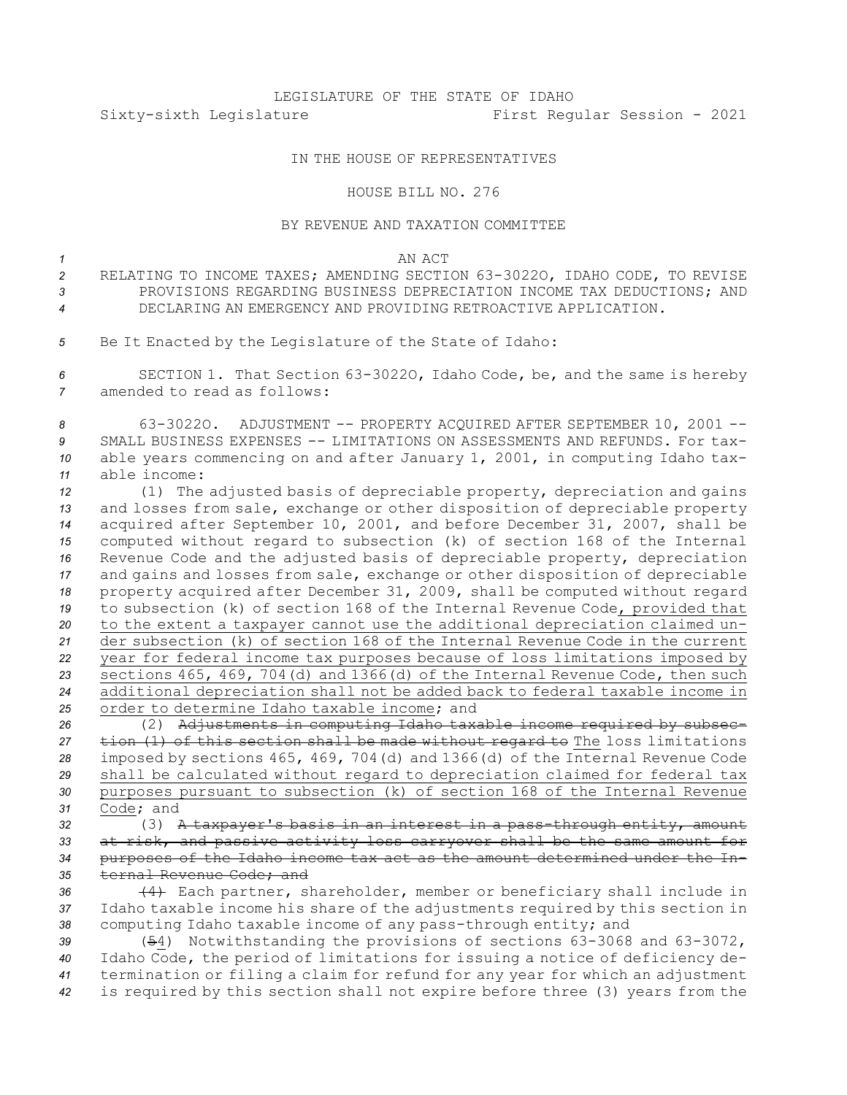# LEGISLATURE OF THE STATE OF IDAHO Sixty-sixth Legislature First Regular Session - 2021

## IN THE HOUSE OF REPRESENTATIVES

### HOUSE BILL NO. 276

### BY REVENUE AND TAXATION COMMITTEE

### *1* AN ACT

- *<sup>2</sup>* RELATING TO INCOME TAXES; AMENDING SECTION 63-3022O, IDAHO CODE, TO REVISE *3* PROVISIONS REGARDING BUSINESS DEPRECIATION INCOME TAX DEDUCTIONS; AND *4* DECLARING AN EMERGENCY AND PROVIDING RETROACTIVE APPLICATION.
- *<sup>5</sup>* Be It Enacted by the Legislature of the State of Idaho:

*<sup>6</sup>* SECTION 1. That Section 63-3022O, Idaho Code, be, and the same is hereby *7* amended to read as follows:

 63-3022O. ADJUSTMENT -- PROPERTY ACQUIRED AFTER SEPTEMBER 10, 2001 -- SMALL BUSINESS EXPENSES -- LIMITATIONS ON ASSESSMENTS AND REFUNDS. For tax- able years commencing on and after January 1, 2001, in computing Idaho tax-able income:

 (1) The adjusted basis of depreciable property, depreciation and gains and losses from sale, exchange or other disposition of depreciable property acquired after September 10, 2001, and before December 31, 2007, shall be computed without regard to subsection (k) of section 168 of the Internal Revenue Code and the adjusted basis of depreciable property, depreciation and gains and losses from sale, exchange or other disposition of depreciable property acquired after December 31, 2009, shall be computed without regard to subsection (k) of section 168 of the Internal Revenue Code, provided that to the extent <sup>a</sup> taxpayer cannot use the additional depreciation claimed un- der subsection (k) of section 168 of the Internal Revenue Code in the current year for federal income tax purposes because of loss limitations imposed by sections 465, 469, 704(d) and 1366(d) of the Internal Revenue Code, then such additional depreciation shall not be added back to federal taxable income in order to determine Idaho taxable income; and

 (2) Adjustments in computing Idaho taxable income required by subsec- tion (1) of this section shall be made without regard to The loss limitations imposed by sections 465, 469, 704(d) and 1366(d) of the Internal Revenue Code shall be calculated without regard to depreciation claimed for federal tax purposes pursuant to subsection (k) of section 168 of the Internal Revenue Code; and

 (3) <sup>A</sup> taxpayer's basis in an interest in <sup>a</sup> pass-through entity, amount at risk, and passive activity loss carryover shall be the same amount for purposes of the Idaho income tax act as the amount determined under the In-ternal Revenue Code; and

*<sup>36</sup>* (4) Each partner, shareholder, member or beneficiary shall include in *<sup>37</sup>* Idaho taxable income his share of the adjustments required by this section in *<sup>38</sup>* computing Idaho taxable income of any pass-through entity; and

 (54) Notwithstanding the provisions of sections 63-3068 and 63-3072, Idaho Code, the period of limitations for issuing <sup>a</sup> notice of deficiency de- termination or filing <sup>a</sup> claim for refund for any year for which an adjustment is required by this section shall not expire before three (3) years from the